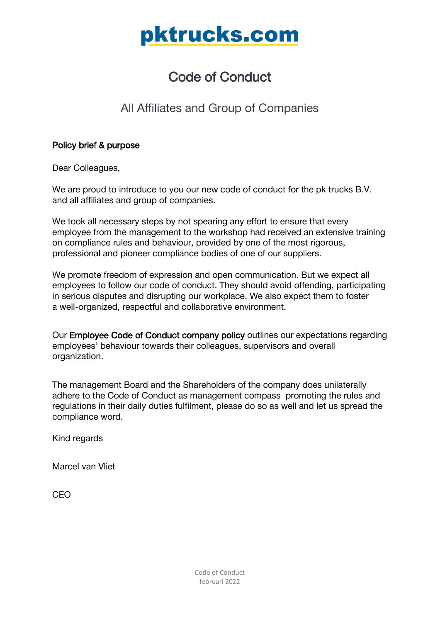# Code of Conduct

# All Affiliates and Group of Companies

# Policy brief & purpose

Dear Colleagues,

We are proud to introduce to you our new code of conduct for the pk trucks B.V. and all affiliates and group of companies.

We took all necessary steps by not spearing any effort to ensure that every employee from the management to the workshop had received an extensive training on compliance rules and behaviour, provided by one of the most rigorous, professional and pioneer compliance bodies of one of our suppliers.

We promote freedom of expression and open communication. But we expect all employees to follow our code of conduct. They should avoid offending, participating in serious disputes and disrupting our workplace. We also expect them to foster a well-organized, respectful and collaborative environment.

Our Employee Code of Conduct company policy outlines our expectations regarding employees' behaviour towards their colleagues, supervisors and overall organization.

The management Board and the Shareholders of the company does unilaterally adhere to the Code of Conduct as management compass promoting the rules and regulations in their daily duties fulfilment, please do so as well and let us spread the compliance word.

Kind regards

Marcel van Vliet

CEO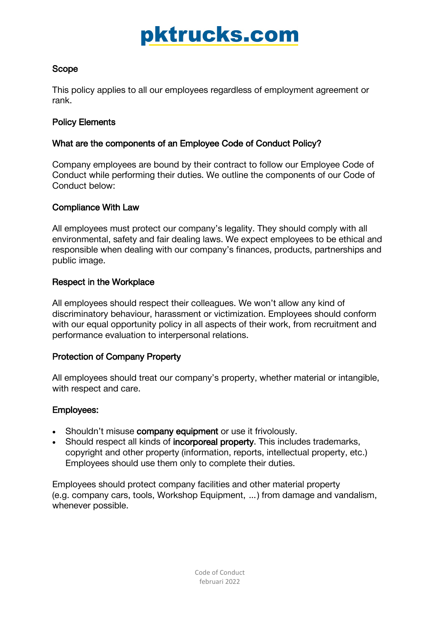# Scope

This policy applies to all our employees regardless of employment agreement or rank.

# Policy Elements

# What are the components of an Employee Code of Conduct Policy?

Company employees are bound by their contract to follow our Employee Code of Conduct while performing their duties. We outline the components of our Code of Conduct below:

# Compliance With Law

All employees must protect our company's legality. They should comply with all environmental, safety and fair dealing laws. We expect employees to be ethical and responsible when dealing with our company's finances, products, partnerships and public image.

# Respect in the Workplace

All employees should respect their colleagues. We won't allow any kind of discriminatory behaviour, harassment or victimization. Employees should conform with our equal opportunity policy in all aspects of their work, from recruitment and performance evaluation to interpersonal relations.

# Protection of Company Property

All employees should treat our company's property, whether material or intangible, with respect and care.

### Employees:

- Shouldn't misuse company equipment or use it frivolously.
- Should respect all kinds of incorporeal property. This includes trademarks, copyright and other property (information, reports, intellectual property, etc.) Employees should use them only to complete their duties.

Employees should protect company facilities and other material property (e.g. company cars, tools, Workshop Equipment, …) from damage and vandalism, whenever possible.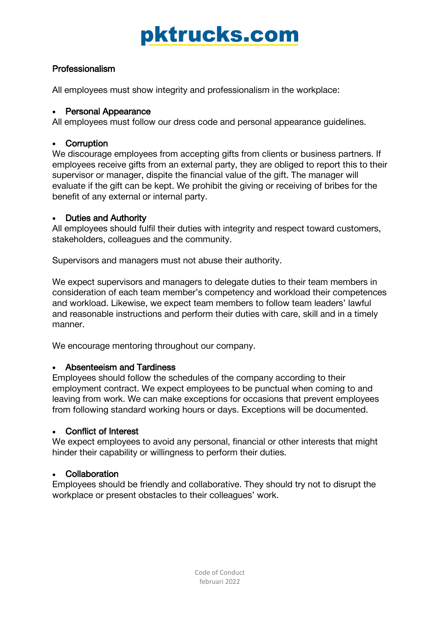# Professionalism

All employees must show integrity and professionalism in the workplace:

# • Personal Appearance

All employees must follow our dress code and personal appearance guidelines.

# **Corruption**

We discourage employees from accepting gifts from clients or business partners. If employees receive gifts from an external party, they are obliged to report this to their supervisor or manager, dispite the financial value of the gift. The manager will evaluate if the gift can be kept. We prohibit the giving or receiving of bribes for the benefit of any external or internal party.

# • Duties and Authority

All employees should fulfil their duties with integrity and respect toward customers, stakeholders, colleagues and the community.

Supervisors and managers must not abuse their authority.

We expect supervisors and managers to delegate duties to their team members in consideration of each team member's competency and workload their competences and workload. Likewise, we expect team members to follow team leaders' lawful and reasonable instructions and perform their duties with care, skill and in a timely manner.

We encourage mentoring throughout our company.

# • Absenteeism and Tardiness

Employees should follow the schedules of the company according to their employment contract. We expect employees to be punctual when coming to and leaving from work. We can make exceptions for occasions that prevent employees from following standard working hours or days. Exceptions will be documented.

# • Conflict of Interest

We expect employees to avoid any personal, financial or other interests that might hinder their capability or willingness to perform their duties.

# • Collaboration

Employees should be friendly and collaborative. They should try not to disrupt the workplace or present obstacles to their colleagues' work.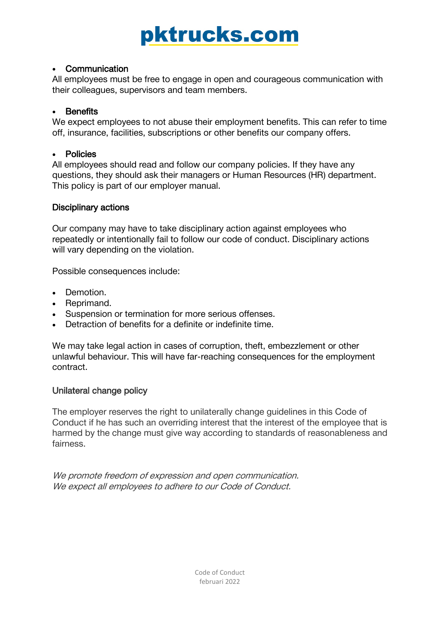## • Communication

All employees must be free to engage in open and courageous communication with their colleagues, supervisors and team members.

# **Benefits**

We expect employees to not abuse their employment benefits. This can refer to time off, insurance, facilities, subscriptions or other benefits our company offers.

### • Policies

All employees should read and follow our company policies. If they have any questions, they should ask their managers or Human Resources (HR) department. This policy is part of our employer manual.

# Disciplinary actions

Our company may have to take disciplinary action against employees who repeatedly or intentionally fail to follow our code of conduct. Disciplinary actions will vary depending on the violation.

Possible consequences include:

- Demotion.
- Reprimand.
- Suspension or termination for more serious offenses.
- Detraction of benefits for a definite or indefinite time.

We may take legal action in cases of corruption, theft, embezzlement or other unlawful behaviour. This will have far-reaching consequences for the employment contract.

### Unilateral change policy

The employer reserves the right to unilaterally change guidelines in this Code of Conduct if he has such an overriding interest that the interest of the employee that is harmed by the change must give way according to standards of reasonableness and fairness.

We promote freedom of expression and open communication. We expect all employees to adhere to our Code of Conduct.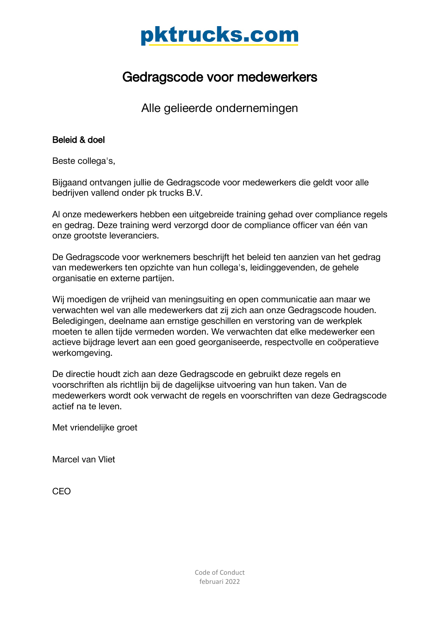# Gedragscode voor medewerkers

Alle gelieerde ondernemingen

# Beleid & doel

Beste collega's,

Bijgaand ontvangen jullie de Gedragscode voor medewerkers die geldt voor alle bedrijven vallend onder pk trucks B.V.

Al onze medewerkers hebben een uitgebreide training gehad over compliance regels en gedrag. Deze training werd verzorgd door de compliance officer van één van onze grootste leveranciers.

De Gedragscode voor werknemers beschrijft het beleid ten aanzien van het gedrag van medewerkers ten opzichte van hun collega's, leidinggevenden, de gehele organisatie en externe partijen.

Wij moedigen de vrijheid van meningsuiting en open communicatie aan maar we verwachten wel van alle medewerkers dat zij zich aan onze Gedragscode houden. Beledigingen, deelname aan ernstige geschillen en verstoring van de werkplek moeten te allen tijde vermeden worden. We verwachten dat elke medewerker een actieve bijdrage levert aan een goed georganiseerde, respectvolle en coöperatieve werkomgeving.

De directie houdt zich aan deze Gedragscode en gebruikt deze regels en voorschriften als richtlijn bij de dagelijkse uitvoering van hun taken. Van de medewerkers wordt ook verwacht de regels en voorschriften van deze Gedragscode actief na te leven.

Met vriendelijke groet

Marcel van Vliet

CEO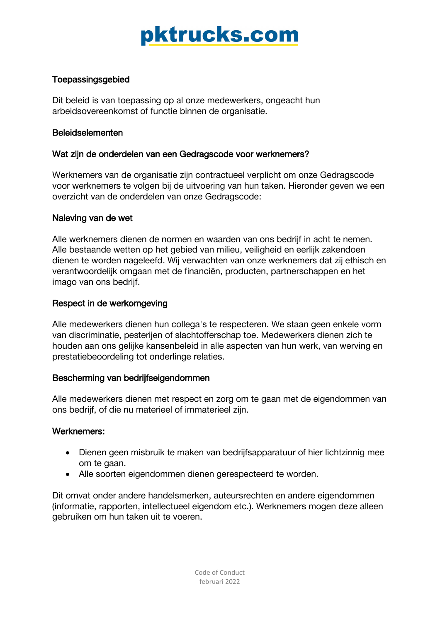# **Toepassingsgebied**

Dit beleid is van toepassing op al onze medewerkers, ongeacht hun arbeidsovereenkomst of functie binnen de organisatie.

### Beleidselementen

### Wat zijn de onderdelen van een Gedragscode voor werknemers?

Werknemers van de organisatie zijn contractueel verplicht om onze Gedragscode voor werknemers te volgen bij de uitvoering van hun taken. Hieronder geven we een overzicht van de onderdelen van onze Gedragscode:

### Naleving van de wet

Alle werknemers dienen de normen en waarden van ons bedrijf in acht te nemen. Alle bestaande wetten op het gebied van milieu, veiligheid en eerlijk zakendoen dienen te worden nageleefd. Wij verwachten van onze werknemers dat zij ethisch en verantwoordelijk omgaan met de financiën, producten, partnerschappen en het imago van ons bedrijf.

### Respect in de werkomgeving

Alle medewerkers dienen hun collega's te respecteren. We staan geen enkele vorm van discriminatie, pesterijen of slachtofferschap toe. Medewerkers dienen zich te houden aan ons gelijke kansenbeleid in alle aspecten van hun werk, van werving en prestatiebeoordeling tot onderlinge relaties.

### Bescherming van bedrijfseigendommen

Alle medewerkers dienen met respect en zorg om te gaan met de eigendommen van ons bedrijf, of die nu materieel of immaterieel zijn.

### Werknemers:

- Dienen geen misbruik te maken van bedrijfsapparatuur of hier lichtzinnig mee om te gaan.
- Alle soorten eigendommen dienen gerespecteerd te worden.

Dit omvat onder andere handelsmerken, auteursrechten en andere eigendommen (informatie, rapporten, intellectueel eigendom etc.). Werknemers mogen deze alleen gebruiken om hun taken uit te voeren.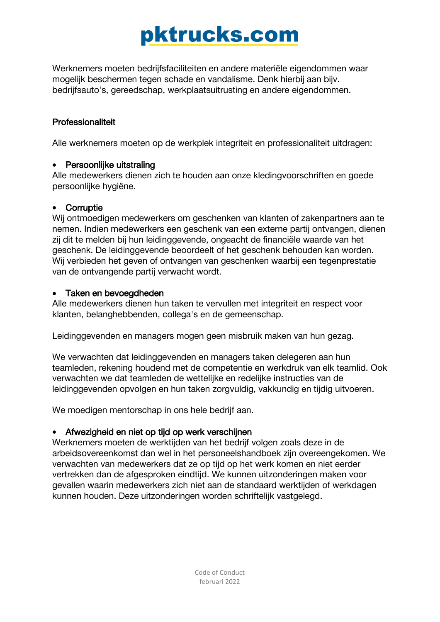Werknemers moeten bedrijfsfaciliteiten en andere materiële eigendommen waar mogelijk beschermen tegen schade en vandalisme. Denk hierbij aan bijv. bedrijfsauto's, gereedschap, werkplaatsuitrusting en andere eigendommen.

# Professionaliteit

Alle werknemers moeten op de werkplek integriteit en professionaliteit uitdragen:

# • Persoonlijke uitstraling

Alle medewerkers dienen zich te houden aan onze kledingvoorschriften en goede persoonlijke hygiëne.

# • Corruptie

Wij ontmoedigen medewerkers om geschenken van klanten of zakenpartners aan te nemen. Indien medewerkers een geschenk van een externe partij ontvangen, dienen zij dit te melden bij hun leidinggevende, ongeacht de financiële waarde van het geschenk. De leidinggevende beoordeelt of het geschenk behouden kan worden. Wij verbieden het geven of ontvangen van geschenken waarbij een tegenprestatie van de ontvangende partij verwacht wordt.

# • Taken en bevoegdheden

Alle medewerkers dienen hun taken te vervullen met integriteit en respect voor klanten, belanghebbenden, collega's en de gemeenschap.

Leidinggevenden en managers mogen geen misbruik maken van hun gezag.

We verwachten dat leidinggevenden en managers taken delegeren aan hun teamleden, rekening houdend met de competentie en werkdruk van elk teamlid. Ook verwachten we dat teamleden de wettelijke en redelijke instructies van de leidinggevenden opvolgen en hun taken zorgvuldig, vakkundig en tijdig uitvoeren.

We moedigen mentorschap in ons hele bedrijf aan.

# • Afwezigheid en niet op tijd op werk verschijnen

Werknemers moeten de werktijden van het bedrijf volgen zoals deze in de arbeidsovereenkomst dan wel in het personeelshandboek zijn overeengekomen. We verwachten van medewerkers dat ze op tijd op het werk komen en niet eerder vertrekken dan de afgesproken eindtijd. We kunnen uitzonderingen maken voor gevallen waarin medewerkers zich niet aan de standaard werktijden of werkdagen kunnen houden. Deze uitzonderingen worden schriftelijk vastgelegd.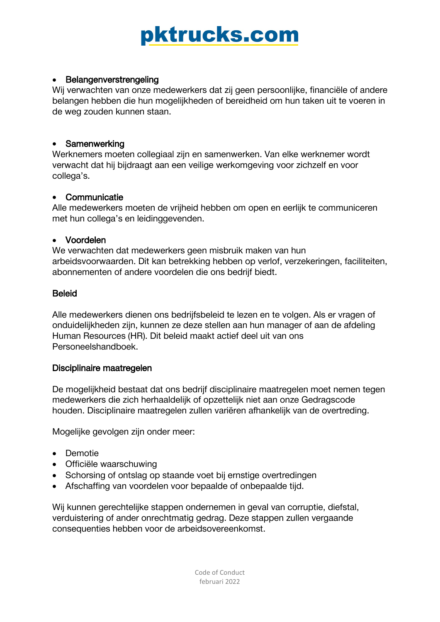# • Belangenverstrengeling

Wij verwachten van onze medewerkers dat zij geen persoonlijke, financiële of andere belangen hebben die hun mogelijkheden of bereidheid om hun taken uit te voeren in de weg zouden kunnen staan.

### • Samenwerking

Werknemers moeten collegiaal zijn en samenwerken. Van elke werknemer wordt verwacht dat hij bijdraagt aan een veilige werkomgeving voor zichzelf en voor collega's.

# • Communicatie

Alle medewerkers moeten de vrijheid hebben om open en eerlijk te communiceren met hun collega's en leidinggevenden.

# • Voordelen

We verwachten dat medewerkers geen misbruik maken van hun arbeidsvoorwaarden. Dit kan betrekking hebben op verlof, verzekeringen, faciliteiten, abonnementen of andere voordelen die ons bedrijf biedt.

# Beleid

Alle medewerkers dienen ons bedrijfsbeleid te lezen en te volgen. Als er vragen of onduidelijkheden zijn, kunnen ze deze stellen aan hun manager of aan de afdeling Human Resources (HR). Dit beleid maakt actief deel uit van ons Personeelshandboek.

### Disciplinaire maatregelen

De mogelijkheid bestaat dat ons bedrijf disciplinaire maatregelen moet nemen tegen medewerkers die zich herhaaldelijk of opzettelijk niet aan onze Gedragscode houden. Disciplinaire maatregelen zullen variëren afhankelijk van de overtreding.

Mogelijke gevolgen zijn onder meer:

- Demotie
- Officiële waarschuwing
- Schorsing of ontslag op staande voet bij ernstige overtredingen
- Afschaffing van voordelen voor bepaalde of onbepaalde tijd.

Wij kunnen gerechtelijke stappen ondernemen in geval van corruptie, diefstal, verduistering of ander onrechtmatig gedrag. Deze stappen zullen vergaande consequenties hebben voor de arbeidsovereenkomst.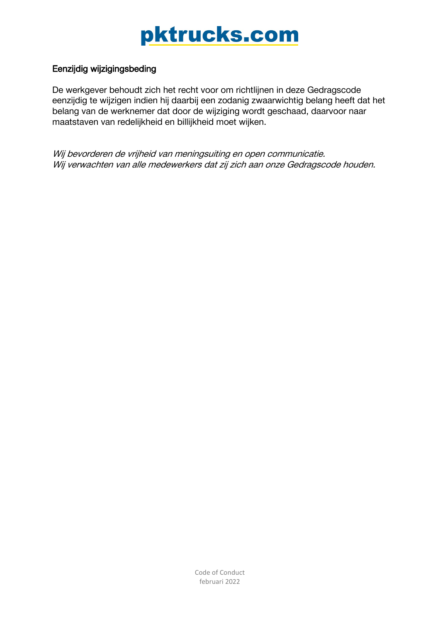# Eenzijdig wijzigingsbeding

De werkgever behoudt zich het recht voor om richtlijnen in deze Gedragscode eenzijdig te wijzigen indien hij daarbij een zodanig zwaarwichtig belang heeft dat het belang van de werknemer dat door de wijziging wordt geschaad, daarvoor naar maatstaven van redelijkheid en billijkheid moet wijken.

Wij bevorderen de vrijheid van meningsuiting en open communicatie. Wij verwachten van alle medewerkers dat zij zich aan onze Gedragscode houden.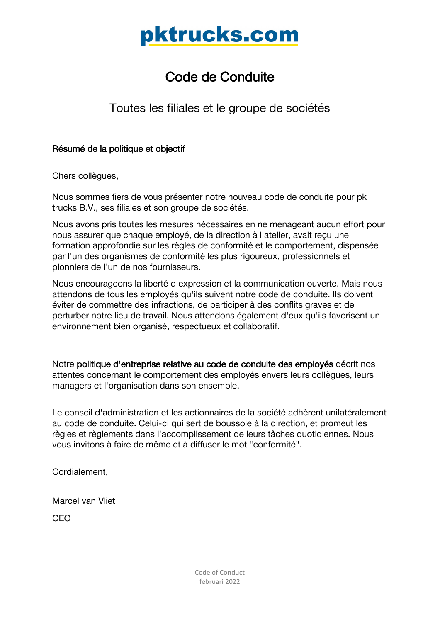# Code de Conduite

Toutes les filiales et le groupe de sociétés

# Résumé de la politique et objectif

Chers collègues,

Nous sommes fiers de vous présenter notre nouveau code de conduite pour pk trucks B.V., ses filiales et son groupe de sociétés.

Nous avons pris toutes les mesures nécessaires en ne ménageant aucun effort pour nous assurer que chaque employé, de la direction à l'atelier, avait reçu une formation approfondie sur les règles de conformité et le comportement, dispensée par l'un des organismes de conformité les plus rigoureux, professionnels et pionniers de l'un de nos fournisseurs.

Nous encourageons la liberté d'expression et la communication ouverte. Mais nous attendons de tous les employés qu'ils suivent notre code de conduite. Ils doivent éviter de commettre des infractions, de participer à des conflits graves et de perturber notre lieu de travail. Nous attendons également d'eux qu'ils favorisent un environnement bien organisé, respectueux et collaboratif.

Notre politique d'entreprise relative au code de conduite des employés décrit nos attentes concernant le comportement des employés envers leurs collègues, leurs managers et l'organisation dans son ensemble.

Le conseil d'administration et les actionnaires de la société adhèrent unilatéralement au code de conduite. Celui-ci qui sert de boussole à la direction, et promeut les règles et règlements dans l'accomplissement de leurs tâches quotidiennes. Nous vous invitons à faire de même et à diffuser le mot "conformité".

Cordialement,

Marcel van Vliet

CEO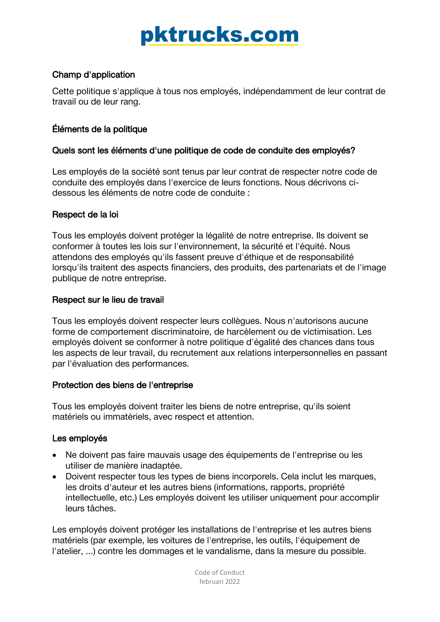# Champ d'application

Cette politique s'applique à tous nos employés, indépendamment de leur contrat de travail ou de leur rang.

# Éléments de la politique

# Quels sont les éléments d'une politique de code de conduite des employés?

Les employés de la société sont tenus par leur contrat de respecter notre code de conduite des employés dans l'exercice de leurs fonctions. Nous décrivons cidessous les éléments de notre code de conduite :

# Respect de la loi

Tous les employés doivent protéger la légalité de notre entreprise. Ils doivent se conformer à toutes les lois sur l'environnement, la sécurité et l'équité. Nous attendons des employés qu'ils fassent preuve d'éthique et de responsabilité lorsqu'ils traitent des aspects financiers, des produits, des partenariats et de l'image publique de notre entreprise.

# Respect sur le lieu de travail

Tous les employés doivent respecter leurs collègues. Nous n'autorisons aucune forme de comportement discriminatoire, de harcèlement ou de victimisation. Les employés doivent se conformer à notre politique d'égalité des chances dans tous les aspects de leur travail, du recrutement aux relations interpersonnelles en passant par l'évaluation des performances.

# Protection des biens de l'entreprise

Tous les employés doivent traiter les biens de notre entreprise, qu'ils soient matériels ou immatériels, avec respect et attention.

# Les employés

- Ne doivent pas faire mauvais usage des équipements de l'entreprise ou les utiliser de manière inadaptée.
- Doivent respecter tous les types de biens incorporels. Cela inclut les marques, les droits d'auteur et les autres biens (informations, rapports, propriété intellectuelle, etc.) Les employés doivent les utiliser uniquement pour accomplir leurs tâches.

Les employés doivent protéger les installations de l'entreprise et les autres biens matériels (par exemple, les voitures de l'entreprise, les outils, l'équipement de l'atelier, ...) contre les dommages et le vandalisme, dans la mesure du possible.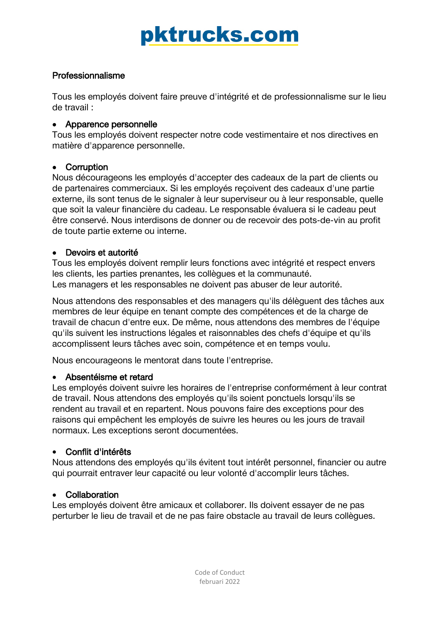# Professionnalisme

Tous les employés doivent faire preuve d'intégrité et de professionnalisme sur le lieu de travail :

### • Apparence personnelle

Tous les employés doivent respecter notre code vestimentaire et nos directives en matière d'apparence personnelle.

# • Corruption

Nous décourageons les employés d'accepter des cadeaux de la part de clients ou de partenaires commerciaux. Si les employés reçoivent des cadeaux d'une partie externe, ils sont tenus de le signaler à leur superviseur ou à leur responsable, quelle que soit la valeur financière du cadeau. Le responsable évaluera si le cadeau peut être conservé. Nous interdisons de donner ou de recevoir des pots-de-vin au profit de toute partie externe ou interne.

# • Devoirs et autorité

Tous les employés doivent remplir leurs fonctions avec intégrité et respect envers les clients, les parties prenantes, les collègues et la communauté. Les managers et les responsables ne doivent pas abuser de leur autorité.

Nous attendons des responsables et des managers qu'ils délèguent des tâches aux membres de leur équipe en tenant compte des compétences et de la charge de travail de chacun d'entre eux. De même, nous attendons des membres de l'équipe qu'ils suivent les instructions légales et raisonnables des chefs d'équipe et qu'ils accomplissent leurs tâches avec soin, compétence et en temps voulu.

Nous encourageons le mentorat dans toute l'entreprise.

# • Absentéisme et retard

Les employés doivent suivre les horaires de l'entreprise conformément à leur contrat de travail. Nous attendons des employés qu'ils soient ponctuels lorsqu'ils se rendent au travail et en repartent. Nous pouvons faire des exceptions pour des raisons qui empêchent les employés de suivre les heures ou les jours de travail normaux. Les exceptions seront documentées.

# • Conflit d'intérêts

Nous attendons des employés qu'ils évitent tout intérêt personnel, financier ou autre qui pourrait entraver leur capacité ou leur volonté d'accomplir leurs tâches.

### • Collaboration

Les employés doivent être amicaux et collaborer. Ils doivent essayer de ne pas perturber le lieu de travail et de ne pas faire obstacle au travail de leurs collègues.